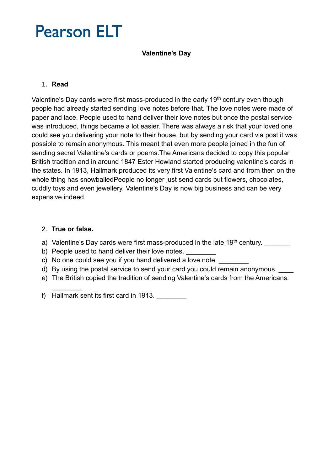# **Pearson ELT**

### **Valentine's Day**

### 1. **Read**

Valentine's Day cards were first mass-produced in the early 19<sup>th</sup> century even though people had already started sending love notes before that. The love notes were made of paper and lace. People used to hand deliver their love notes but once the postal service was introduced, things became a lot easier. There was always a risk that your loved one could see you delivering your note to their house, but by sending your card via post it was possible to remain anonymous. This meant that even more people joined in the fun of sending secret Valentine's cards or poems.The Americans decided to copy this popular British tradition and in around 1847 Ester Howland started producing valentine's cards in the states. In 1913, Hallmark produced its very first Valentine's card and from then on the whole thing has snowballedPeople no longer just send cards but flowers, chocolates, cuddly toys and even jewellery. Valentine's Day is now big business and can be very expensive indeed.

### 2. **True or false.**

 $\frac{1}{2}$ 

- a) Valentine's Day cards were first mass-produced in the late 19<sup>th</sup> century.
- b) People used to hand deliver their love notes.
- c) No one could see you if you hand delivered a love note.
- d) By using the postal service to send your card you could remain anonymous.
- e) The British copied the tradition of sending Valentine's cards from the Americans.
- f) Hallmark sent its first card in 1913.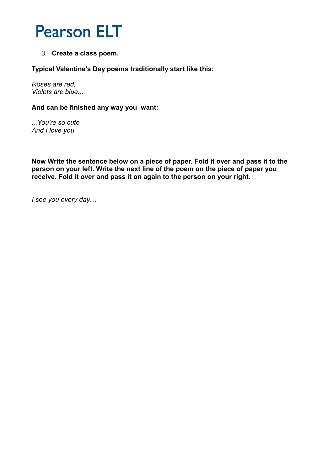# **Pearson ELT**

3. **Create a class poem.** 

### **Typical Valentine's Day poems traditionally start like this:**

*Roses are red, Violets are blue...*

#### **And can be finished any way you want:**

*...You're so cute And I love you*

**Now Write the sentence below on a piece of paper. Fold it over and pass it to the person on your left. Write the next line of the poem on the piece of paper you receive. Fold it over and pass it on again to the person on your right.**

*I see you every day....*